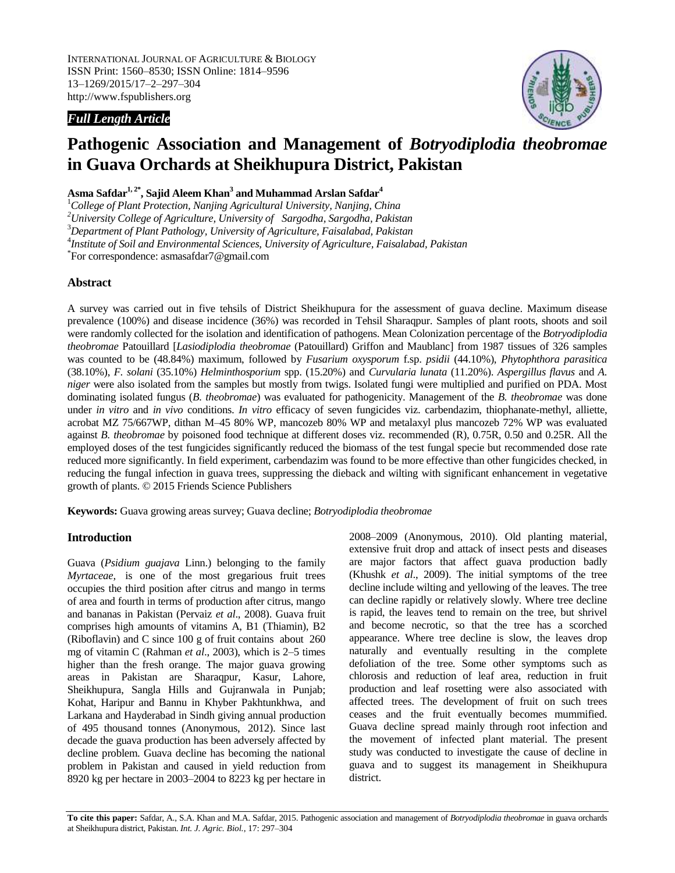INTERNATIONAL JOURNAL OF AGRICULTURE & BIOLOGY ISSN Print: 1560–8530; ISSN Online: 1814–9596 13–1269/2015/17–2–297–304 http://www.fspublishers.org

# *Full Length Article*



# **Pathogenic Association and Management of** *Botryodiplodia theobromae* **in Guava Orchards at Sheikhupura District, Pakistan**

**Asma Safdar1, 2\* , Sajid Aleem Khan<sup>3</sup> and Muhammad Arslan Safdar<sup>4</sup>**

<sup>1</sup>*College of Plant Protection, Nanjing Agricultural University, Nanjing, China*

*<sup>2</sup>University College of Agriculture, University of Sargodha, Sargodha, Pakistan*

<sup>3</sup>*Department of Plant Pathology, University of Agriculture, Faisalabad, Pakistan*

4 *Institute of Soil and Environmental Sciences, University of Agriculture, Faisalabad, Pakistan*

\* For correspondence[: asmasafdar7@gmail.com](mailto:asmasafdar7@gmail.com)

## **Abstract**

A survey was carried out in five tehsils of District Sheikhupura for the assessment of guava decline. Maximum disease prevalence (100%) and disease incidence (36%) was recorded in Tehsil Sharaqpur. Samples of plant roots, shoots and soil were randomly collected for the isolation and identification of pathogens. Mean Colonization percentage of the *Botryodiplodia theobromae* Patouillard [*Lasiodiplodia theobromae* (Patouillard) Griffon and Maublanc] from 1987 tissues of 326 samples was counted to be (48.84%) maximum, followed by *Fusarium oxysporum* f.sp. *psidii* (44.10%), *Phytophthora parasitica*  (38.10%), *F. solani* (35.10%) *Helminthosporium* spp. (15.20%) and *Curvularia lunata* (11.20%). *Aspergillus flavus* and *A. niger* were also isolated from the samples but mostly from twigs. Isolated fungi were multiplied and purified on PDA. Most dominating isolated fungus (*B. theobromae*) was evaluated for pathogenicity. Management of the *B. theobromae* was done under *in vitro* and *in vivo* conditions. *In vitro* efficacy of seven fungicides viz. carbendazim, thiophanate-methyl, alliette, acrobat MZ 75/667WP, dithan M‒45 80% WP, mancozeb 80% WP and metalaxyl plus mancozeb 72% WP was evaluated against *B. theobromae* by poisoned food technique at different doses viz. recommended (R), 0.75R, 0.50 and 0.25R. All the employed doses of the test fungicides significantly reduced the biomass of the test fungal specie but recommended dose rate reduced more significantly. In field experiment, carbendazim was found to be more effective than other fungicides checked, in reducing the fungal infection in guava trees, suppressing the dieback and wilting with significant enhancement in vegetative growth of plants. © 2015 Friends Science Publishers

**Keywords:** Guava growing areas survey; Guava decline; *Botryodiplodia theobromae*

# **Introduction**

Guava (*Psidium guajava* Linn.) belonging to the family *Myrtaceae,* is one of the most gregarious fruit trees occupies the third position after citrus and mango in terms of area and fourth in terms of production after citrus, mango and bananas in Pakistan (Pervaiz *et al*., 2008). Guava fruit comprises high amounts of vitamins A, B1 (Thiamin), B2 (Riboflavin) and C since 100 g of fruit contains about 260 mg of vitamin C (Rahman *et al*., 2003), which is 2–5 times higher than the fresh orange. The major guava growing areas in Pakistan are Sharaqpur, Kasur, Lahore, Sheikhupura, Sangla Hills and Gujranwala in Punjab; Kohat, Haripur and Bannu in Khyber Pakhtunkhwa, and Larkana and Hayderabad in Sindh giving annual production of 495 thousand tonnes (Anonymous, 2012). Since last decade the guava production has been adversely affected by decline problem. Guava decline has becoming the national problem in Pakistan and caused in yield reduction from 8920 kg per hectare in 2003‒2004 to 8223 kg per hectare in 2008‒2009 (Anonymous, 2010). Old planting material, extensive fruit drop and attack of insect pests and diseases are major factors that affect guava production badly (Khushk *et al*., 2009). The initial symptoms of the tree decline include wilting and yellowing of the leaves. The tree can decline rapidly or relatively slowly. Where tree decline is rapid, the leaves tend to remain on the tree, but shrivel and become necrotic, so that the tree has a scorched appearance. Where tree decline is slow, the leaves drop naturally and eventually resulting in the complete defoliation of the tree. Some other symptoms such as chlorosis and reduction of leaf area, reduction in fruit production and leaf rosetting were also associated with affected trees. The development of fruit on such trees ceases and the fruit eventually becomes mummified. Guava decline spread mainly through root infection and the movement of infected plant material. The present study was conducted to investigate the cause of decline in guava and to suggest its management in Sheikhupura district.

**To cite this paper:** Safdar, A., S.A. Khan and M.A. Safdar, 2015. Pathogenic association and management of *Botryodiplodia theobromae* in guava orchards at Sheikhupura district, Pakistan. *Int. J. Agric. Biol.*, 17: 297-304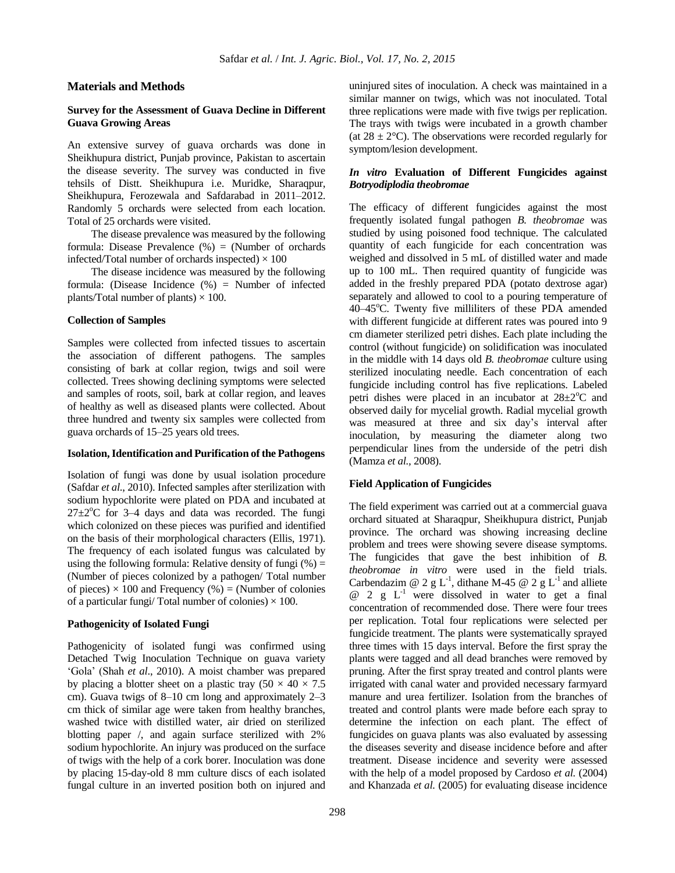## **Materials and Methods**

## **Survey for the Assessment of Guava Decline in Different Guava Growing Areas**

An extensive survey of guava orchards was done in Sheikhupura district, Punjab province, Pakistan to ascertain the disease severity. The survey was conducted in five tehsils of Distt. Sheikhupura i.e. Muridke, Sharaqpur, Sheikhupura, Ferozewala and Safdarabad in 2011–2012. Randomly 5 orchards were selected from each location. Total of 25 orchards were visited.

The disease prevalence was measured by the following formula: Disease Prevalence  $(\%)$  = (Number of orchards infected/Total number of orchards inspected)  $\times$  100

The disease incidence was measured by the following formula: (Disease Incidence (%) = Number of infected plants/Total number of plants)  $\times$  100.

## **Collection of Samples**

Samples were collected from infected tissues to ascertain the association of different pathogens. The samples consisting of bark at collar region, twigs and soil were collected. Trees showing declining symptoms were selected and samples of roots, soil, bark at collar region, and leaves of healthy as well as diseased plants were collected. About three hundred and twenty six samples were collected from guava orchards of 15‒25 years old trees.

#### **Isolation,Identification and Purification of the Pathogens**

Isolation of fungi was done by usual isolation procedure (Safdar *et al*., 2010). Infected samples after sterilization with sodium hypochlorite were plated on PDA and incubated at  $27 \pm 2^{\circ}$ C for 3–4 days and data was recorded. The fungi which colonized on these pieces was purified and identified on the basis of their morphological characters (Ellis, 1971). The frequency of each isolated fungus was calculated by using the following formula: Relative density of fungi  $(\%) =$ (Number of pieces colonized by a pathogen/ Total number of pieces)  $\times$  100 and Frequency (%) = (Number of colonies of a particular fungi/ Total number of colonies)  $\times$  100.

## **Pathogenicity of Isolated Fungi**

Pathogenicity of isolated fungi was confirmed using Detached Twig Inoculation Technique on guava variety 'Gola' (Shah *et al*., 2010). A moist chamber was prepared by placing a blotter sheet on a plastic tray  $(50 \times 40 \times 7.5)$ cm). Guava twigs of 8–10 cm long and approximately 2–3 cm thick of similar age were taken from healthy branches, washed twice with distilled water, air dried on sterilized blotting paper /, and again surface sterilized with 2% sodium hypochlorite. An injury was produced on the surface of twigs with the help of a cork borer. Inoculation was done by placing 15-day-old 8 mm culture discs of each isolated fungal culture in an inverted position both on injured and uninjured sites of inoculation. A check was maintained in a similar manner on twigs, which was not inoculated. Total three replications were made with five twigs per replication. The trays with twigs were incubated in a growth chamber (at  $28 \pm 2$ °C). The observations were recorded regularly for symptom/lesion development.

# *In vitro* **Evaluation of Different Fungicides against**  *Botryodiplodia theobromae*

The efficacy of different fungicides against the most frequently isolated fungal pathogen *B. theobromae* was studied by using poisoned food technique. The calculated quantity of each fungicide for each concentration was weighed and dissolved in 5 mL of distilled water and made up to 100 mL. Then required quantity of fungicide was added in the freshly prepared PDA (potato dextrose agar) separately and allowed to cool to a pouring temperature of 40–45°C. Twenty five milliliters of these PDA amended with different fungicide at different rates was poured into 9 cm diameter sterilized petri dishes. Each plate including the control (without fungicide) on solidification was inoculated in the middle with 14 days old *B. theobromae* culture using sterilized inoculating needle. Each concentration of each fungicide including control has five replications. Labeled petri dishes were placed in an incubator at  $28\pm2\degree$ C and observed daily for mycelial growth. Radial mycelial growth was measured at three and six day's interval after inoculation, by measuring the diameter along two perpendicular lines from the underside of the petri dish (Mamza *et al.,* 2008).

## **Field Application of Fungicides**

The field experiment was carried out at a commercial guava orchard situated at Sharaqpur, Sheikhupura district, Punjab province. The orchard was showing increasing decline problem and trees were showing severe disease symptoms. The fungicides that gave the best inhibition of *B. theobromae in vitro* were used in the field trials. Carbendazim @ 2 g L<sup>-1</sup>, dithane M-45 @ 2 g L<sup>-1</sup> and alliete  $@ 2 g L<sup>-1</sup>$  were dissolved in water to get a final concentration of recommended dose. There were four trees per replication. Total four replications were selected per fungicide treatment. The plants were systematically sprayed three times with 15 days interval. Before the first spray the plants were tagged and all dead branches were removed by pruning. After the first spray treated and control plants were irrigated with canal water and provided necessary farmyard manure and urea fertilizer. Isolation from the branches of treated and control plants were made before each spray to determine the infection on each plant. The effect of fungicides on guava plants was also evaluated by assessing the diseases severity and disease incidence before and after treatment. Disease incidence and severity were assessed with the help of a model proposed by Cardoso *et al.* (2004) and Khanzada *et al.* (2005) for evaluating disease incidence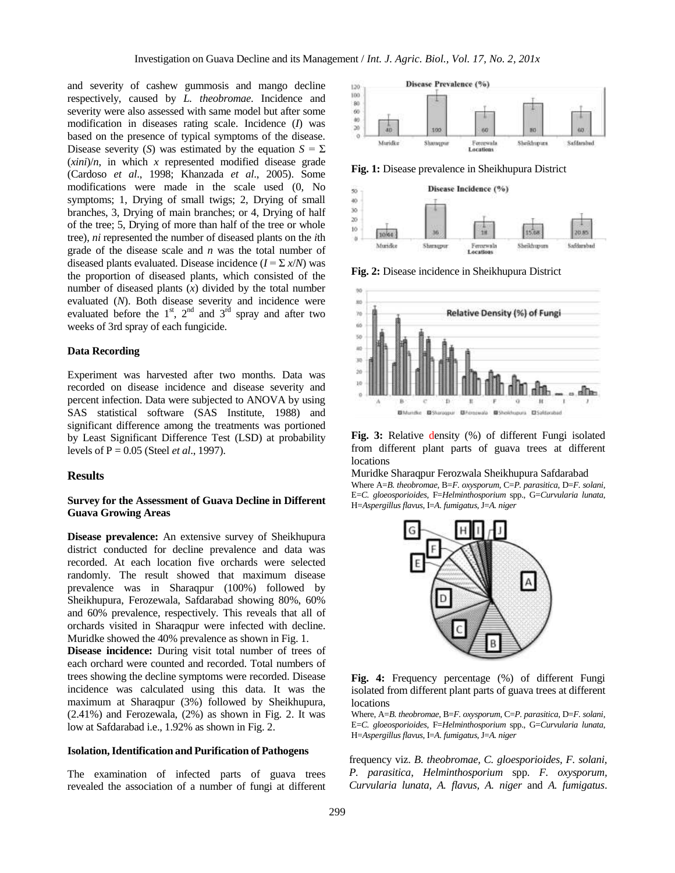and severity of cashew gummosis and mango decline respectively, caused by *L. theobromae*. Incidence and severity were also assessed with same model but after some modification in diseases rating scale. Incidence (*I*) was based on the presence of typical symptoms of the disease. Disease severity (*S*) was estimated by the equation  $S = \Sigma$  $(xini)/n$ , in which *x* represented modified disease grade (Cardoso *et al*., 1998; Khanzada *et al*., 2005). Some modifications were made in the scale used (0, No symptoms; 1, Drying of small twigs; 2, Drying of small branches, 3, Drying of main branches; or 4, Drying of half of the tree; 5, Drying of more than half of the tree or whole tree), *ni* represented the number of diseased plants on the *i*th grade of the disease scale and *n* was the total number of diseased plants evaluated. Disease incidence  $(I = \sum x/N)$  was the proportion of diseased plants, which consisted of the number of diseased plants (*x*) divided by the total number evaluated (*N*). Both disease severity and incidence were evaluated before the  $1<sup>st</sup>$ ,  $2<sup>nd</sup>$  and  $3<sup>rd</sup>$  spray and after two weeks of 3rd spray of each fungicide.

## **Data Recording**

Experiment was harvested after two months. Data was recorded on disease incidence and disease severity and percent infection. Data were subjected to ANOVA by using SAS statistical software (SAS Institute, 1988) and significant difference among the treatments was portioned by Least Significant Difference Test (LSD) at probability levels of P = 0.05 (Steel *et al*., 1997).

## **Results**

## **Survey for the Assessment of Guava Decline in Different Guava Growing Areas**

**Disease prevalence:** An extensive survey of Sheikhupura district conducted for decline prevalence and data was recorded. At each location five orchards were selected randomly. The result showed that maximum disease prevalence was in Sharaqpur (100%) followed by Sheikhupura, Ferozewala, Safdarabad showing 80%, 60% and 60% prevalence, respectively. This reveals that all of orchards visited in Sharaqpur were infected with decline. Muridke showed the 40% prevalence as shown in Fig. 1.

**Disease incidence:** During visit total number of trees of each orchard were counted and recorded. Total numbers of trees showing the decline symptoms were recorded. Disease incidence was calculated using this data. It was the maximum at Sharaqpur (3%) followed by Sheikhupura, (2.41%) and Ferozewala, (2%) as shown in Fig. 2. It was low at Safdarabad i.e., 1.92% as shown in Fig. 2.

## **Isolation,Identification and Purification of Pathogens**

The examination of infected parts of guava trees revealed the association of a number of fungi at different



**Fig. 1:** Disease prevalence in Sheikhupura District



**Fig. 2:** Disease incidence in Sheikhupura District



**Fig. 3:** Relative density (%) of different Fungi isolated from different plant parts of guava trees at different locations

Muridke Sharaqpur Ferozwala Sheikhupura Safdarabad Where A=*B. theobromae*, B=*F. oxysporum*, C=*P. parasitica*, D=*F. solani*, E=*C. gloeosporioides*, F=*Helminthosporium* spp., G=*Curvularia lunata*, H=*Aspergillus flavus*, I=*A. fumigatus*, J=*A. niger*



**Fig. 4:** Frequency percentage (%) of different Fungi isolated from different plant parts of guava trees at different locations

Where, A=*B. theobromae*, B=*F. oxysporum*, C=*P. parasitica*, D=*F. solani*, E=*C. gloeosporioides*, F=*Helminthosporium* spp., G=*Curvularia lunata*, H=*Aspergillus flavus*, I=*A. fumigatus*, J=*A. niger*

frequency viz. *B. theobromae, C. gloesporioides, F. solani, P. parasitica*, *Helminthosporium* spp. *F. oxysporum, Curvularia lunata, A. flavus, A. niger* and *A. fumigatus*.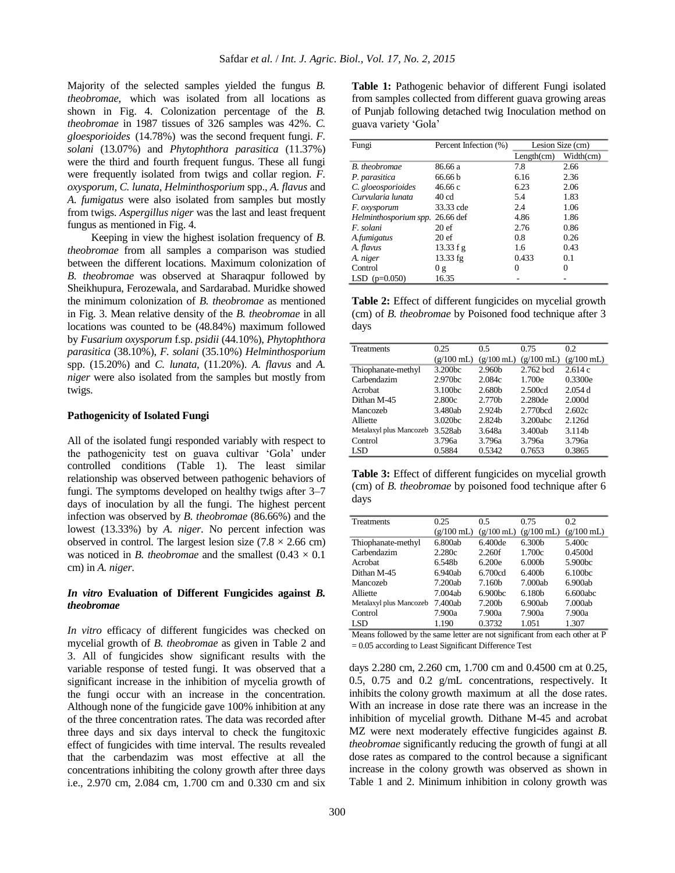Majority of the selected samples yielded the fungus *B. theobromae*, which was isolated from all locations as shown in Fig. 4. Colonization percentage of the *B. theobromae* in 1987 tissues of 326 samples was 42%. *C. gloesporioides* (14.78%) was the second frequent fungi. *F. solani* (13.07%) and *Phytophthora parasitica* (11.37%) were the third and fourth frequent fungus. These all fungi were frequently isolated from twigs and collar region. *F. oxysporum, C. lunata, Helminthosporium* spp., *A. flavus* and *A. fumigatus* were also isolated from samples but mostly from twigs. *Aspergillus niger* was the last and least frequent fungus as mentioned in Fig. 4.

Keeping in view the highest isolation frequency of *B. theobromae* from all samples a comparison was studied between the different locations. Maximum colonization of *B. theobromae* was observed at Sharaqpur followed by Sheikhupura, Ferozewala, and Sardarabad. Muridke showed the minimum colonization of *B. theobromae* as mentioned in Fig. 3*.* Mean relative density of the *B. theobromae* in all locations was counted to be (48.84%) maximum followed by *Fusarium oxysporum* f.sp. *psidii* (44.10%), *Phytophthora parasitica* (38.10%), *F. solani* (35.10%) *Helminthosporium* spp. (15.20%) and *C. lunata*, (11.20%). *A. flavus* and *A. niger* were also isolated from the samples but mostly from twigs.

#### **Pathogenicity of Isolated Fungi**

All of the isolated fungi responded variably with respect to the pathogenicity test on guava cultivar 'Gola' under controlled conditions (Table 1). The least similar relationship was observed between pathogenic behaviors of fungi. The symptoms developed on healthy twigs after 3–7 days of inoculation by all the fungi. The highest percent infection was observed by *B. theobromae* (86.66%) and the lowest (13.33%) by *A. niger*. No percent infection was observed in control. The largest lesion size  $(7.8 \times 2.66 \text{ cm})$ was noticed in *B. theobromae* and the smallest  $(0.43 \times 0.1)$ cm) in *A. niger*.

## *In vitro* **Evaluation of Different Fungicides against** *B. theobromae*

*In vitro* efficacy of different fungicides was checked on mycelial growth of *B. theobromae* as given in Table 2 and 3. All of fungicides show significant results with the variable response of tested fungi. It was observed that a significant increase in the inhibition of mycelia growth of the fungi occur with an increase in the concentration. Although none of the fungicide gave 100% inhibition at any of the three concentration rates. The data was recorded after three days and six days interval to check the fungitoxic effect of fungicides with time interval. The results revealed that the carbendazim was most effective at all the concentrations inhibiting the colony growth after three days i.e., 2.970 cm, 2.084 cm, 1.700 cm and 0.330 cm and six

**Table 1:** Pathogenic behavior of different Fungi isolated from samples collected from different guava growing areas of Punjab following detached twig Inoculation method on guava variety 'Gola'

| Fungi                 | Percent Infection (%) | Lesion Size (cm) |           |
|-----------------------|-----------------------|------------------|-----------|
|                       |                       | Length(cm)       | Width(cm) |
| <b>B</b> . theobromae | 86.66 a               | 7.8              | 2.66      |
| P. parasitica         | 66.66 b               | 6.16             | 2.36      |
| C. gloeosporioides    | 46.66 c               | 6.23             | 2.06      |
| Curvularia lunata     | 40 <sub>cd</sub>      | 5.4              | 1.83      |
| F. oxysporum          | 33.33 cde             | 2.4              | 1.06      |
| Helminthosporium spp. | 26.66 def             | 4.86             | 1.86      |
| F. solani             | 20ef                  | 2.76             | 0.86      |
| A.fumigatus           | 20 <sub>ef</sub>      | 0.8              | 0.26      |
| A. flavus             | $13.33 f$ g           | 1.6              | 0.43      |
| A. niger              | $13.33$ fg            | 0.433            | 0.1       |
| Control               | 0g                    | 0                | $\Omega$  |
| LSD $(p=0.050)$       | 16.35                 |                  |           |

**Table 2:** Effect of different fungicides on mycelial growth (cm) of *B. theobromae* by Poisoned food technique after 3 days

| Treatments              | 0.25                 | 0.5                  | 0.75                 | 0.2                  |
|-------------------------|----------------------|----------------------|----------------------|----------------------|
|                         | $(g/100 \text{ mL})$ | $(g/100 \text{ mL})$ | $(g/100 \text{ mL})$ | $(g/100 \text{ mL})$ |
| Thiophanate-methyl      | 3.200 <sub>hc</sub>  | 2.960b               | 2.762 bcd            | 2.614c               |
| Carbendazim             | 2.970 <sub>bc</sub>  | 2.084c               | 1.700e               | 0.3300e              |
| <b>Acrobat</b>          | 3.100 <sub>bc</sub>  | 2.680 <sub>b</sub>   | 2.500cd              | 2.054d               |
| Dithan M-45             | 2.800c               | 2.770 <sub>b</sub>   | 2.280de              | 2.000d               |
| Mancozeh                | 3.480ab              | 2.924 <sub>b</sub>   | 2.770 <sub>bcd</sub> | 2.602c               |
| Alliette                | 3.020 <sub>bc</sub>  | 2.824 <sub>b</sub>   | 3.200abc             | 2.126d               |
| Metalaxyl plus Mancozeb | 3.528ab              | 3.648a               | 3.400ab              | 3.114b               |
| Control                 | 3.796a               | 3.796a               | 3.796a               | 3.796a               |
| LSD                     | 0.5884               | 0.5342               | 0.7653               | 0.3865               |

**Table 3:** Effect of different fungicides on mycelial growth (cm) of *B. theobromae* by poisoned food technique after 6 days

| 0.25         | 0.5                     | 0.75                 | 0.2                  |
|--------------|-------------------------|----------------------|----------------------|
| $(g/100$ mL) | $(g/100 \text{ mL})$    | $(g/100 \text{ mL})$ | $(g/100 \text{ mL})$ |
| 6.800ab      | 6.400de                 | 6.300b               | 5.400c               |
| 2.280c       | 2.260f                  | 1.700c               | 0.4500d              |
| 6.548b       | 6.200e                  | 6.000 <sub>b</sub>   | 5.900bc              |
| 6.940ab      | 6.700cd                 | 6.400 <sub>b</sub>   | 6.100 <sub>bc</sub>  |
| 7.200ab      | 7.160b                  | 7.000ab              | 6.900ab              |
| 7.004ab      | 6.900 <sub>bc</sub>     | 6.180 <sub>b</sub>   | 6.600abc             |
| 7.400ab      | 7.200b                  | 6.900ab              | 7.000ab              |
| 7.900a       | 7.900a                  | 7.900a               | 7.900a               |
| 1.190        | 0.3732                  | 1.051                | 1.307                |
|              | Metalaxyl plus Mancozeb |                      |                      |

Means followed by the same letter are not significant from each other at P = 0.05 according to Least Significant Difference Test

days 2.280 cm, 2.260 cm, 1.700 cm and 0.4500 cm at 0.25, 0.5, 0.75 and 0.2 g/mL concentrations, respectively. It inhibits the colony growth maximum at all the dose rates. With an increase in dose rate there was an increase in the inhibition of mycelial growth. Dithane M-45 and acrobat MZ were next moderately effective fungicides against *B. theobromae* significantly reducing the growth of fungi at all dose rates as compared to the control because a significant increase in the colony growth was observed as shown in Table 1 and 2. Minimum inhibition in colony growth was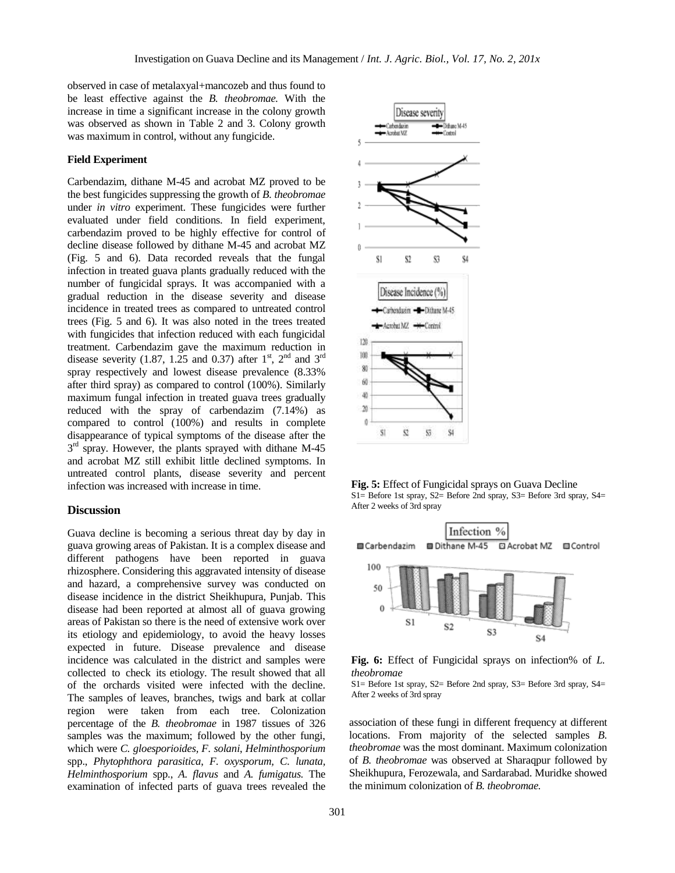observed in case of metalaxyal+mancozeb and thus found to be least effective against the *B. theobromae.* With the increase in time a significant increase in the colony growth was observed as shown in Table 2 and 3. Colony growth was maximum in control, without any fungicide.

#### **Field Experiment**

Carbendazim, dithane M-45 and acrobat MZ proved to be the best fungicides suppressing the growth of *B. theobromae* under *in vitro* experiment. These fungicides were further evaluated under field conditions. In field experiment, carbendazim proved to be highly effective for control of decline disease followed by dithane M-45 and acrobat MZ (Fig. 5 and 6). Data recorded reveals that the fungal infection in treated guava plants gradually reduced with the number of fungicidal sprays. It was accompanied with a gradual reduction in the disease severity and disease incidence in treated trees as compared to untreated control trees (Fig. 5 and 6). It was also noted in the trees treated with fungicides that infection reduced with each fungicidal treatment. Carbendazim gave the maximum reduction in disease severity (1.87, 1.25 and 0.37) after  $1<sup>st</sup>$ ,  $2<sup>nd</sup>$  and  $3<sup>rd</sup>$ spray respectively and lowest disease prevalence (8.33% after third spray) as compared to control (100%). Similarly maximum fungal infection in treated guava trees gradually reduced with the spray of carbendazim (7.14%) as compared to control (100%) and results in complete disappearance of typical symptoms of the disease after the 3<sup>rd</sup> spray. However, the plants sprayed with dithane M-45 and acrobat MZ still exhibit little declined symptoms. In untreated control plants, disease severity and percent infection was increased with increase in time.

## **Discussion**

Guava decline is becoming a serious threat day by day in guava growing areas of Pakistan. It is a complex disease and different pathogens have been reported in guava rhizosphere. Considering this aggravated intensity of disease and hazard, a comprehensive survey was conducted on disease incidence in the district Sheikhupura, Punjab. This disease had been reported at almost all of guava growing areas of Pakistan so there is the need of extensive work over its etiology and epidemiology, to avoid the heavy losses expected in future. Disease prevalence and disease incidence was calculated in the district and samples were collected to check its etiology. The result showed that all of the orchards visited were infected with the decline. The samples of leaves, branches, twigs and bark at collar region were taken from each tree. Colonization percentage of the *B. theobromae* in 1987 tissues of 326 samples was the maximum; followed by the other fungi, which were *C. gloesporioides, F. solani*, *Helminthosporium* spp., *Phytophthora parasitica*, *F. oxysporum, C. lunata, Helminthosporium* spp., *A. flavus* and *A. fumigatus.* The examination of infected parts of guava trees revealed the



**Fig. 5:** Effect of Fungicidal sprays on Guava Decline S1= Before 1st spray, S2= Before 2nd spray, S3= Before 3rd spray, S4= After 2 weeks of 3rd spray



**Fig. 6:** Effect of Fungicidal sprays on infection% of *L. theobromae*

S1= Before 1st spray, S2= Before 2nd spray, S3= Before 3rd spray, S4= After 2 weeks of 3rd spray

association of these fungi in different frequency at different locations. From majority of the selected samples *B. theobromae* was the most dominant. Maximum colonization of *B. theobromae* was observed at Sharaqpur followed by Sheikhupura, Ferozewala, and Sardarabad. Muridke showed the minimum colonization of *B. theobromae.*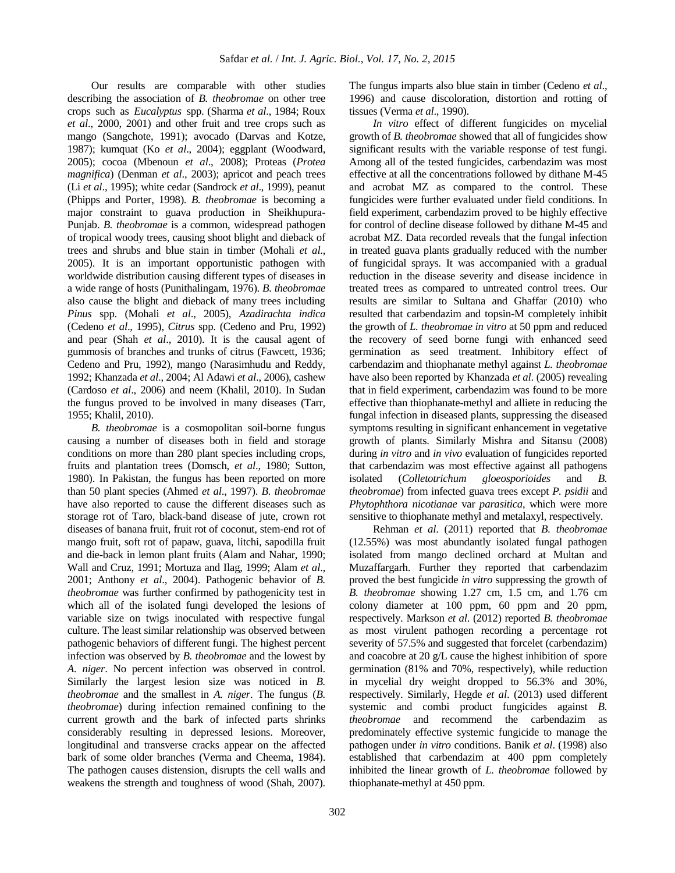Our results are comparable with other studies describing the association of *B. theobromae* on other tree crops such as *Eucalyptus* spp. (Sharma *et al*., 1984; Roux *et al*., 2000, 2001) and other fruit and tree crops such as mango (Sangchote, 1991); avocado (Darvas and Kotze, 1987); kumquat (Ko *et al*., 2004); eggplant (Woodward, 2005); cocoa (Mbenoun *et al*., 2008); Proteas (*Protea magnifica*) (Denman *et al*., 2003); apricot and peach trees (Li *et al*., 1995); white cedar (Sandrock *et al*., 1999), peanut (Phipps and Porter, 1998). *B. theobromae* is becoming a major constraint to guava production in Sheikhupura-Punjab. *B. theobromae* is a common, widespread pathogen of tropical woody trees, causing shoot blight and dieback of trees and shrubs and blue stain in timber (Mohali *et al*., 2005). It is an important opportunistic pathogen with worldwide distribution causing different types of diseases in a wide range of hosts (Punithalingam, 1976). *B. theobromae* also cause the blight and dieback of many trees including *Pinus* spp. (Mohali *et al*., 2005), *Azadirachta indica* (Cedeno *et al*., 1995), *Citrus* spp. (Cedeno and Pru, 1992) and pear (Shah *et al*., 2010). It is the causal agent of gummosis of branches and trunks of citrus (Fawcett, 1936; Cedeno and Pru, 1992), mango (Narasimhudu and Reddy, 1992; Khanzada *et al*., 2004; Al Adawi *et al*., 2006), cashew (Cardoso *et al*., 2006) and neem (Khalil, 2010). In Sudan the fungus proved to be involved in many diseases (Tarr, 1955; Khalil, 2010).

*B. theobromae* is a cosmopolitan soil-borne fungus causing a number of diseases both in field and storage conditions on more than 280 plant species including crops, fruits and plantation trees (Domsch, *et al*., 1980; Sutton, 1980). In Pakistan, the fungus has been reported on more than 50 plant species (Ahmed *et al*., 1997). *B. theobromae* have also reported to cause the different diseases such as storage rot of Taro, black-band disease of jute, crown rot diseases of banana fruit, fruit rot of coconut, stem-end rot of mango fruit, soft rot of papaw, guava, litchi, sapodilla fruit and die-back in lemon plant fruits (Alam and Nahar, 1990; Wall and Cruz, 1991; Mortuza and Ilag, 1999; Alam *et al*., 2001; Anthony *et al*., 2004). Pathogenic behavior of *B. theobromae* was further confirmed by pathogenicity test in which all of the isolated fungi developed the lesions of variable size on twigs inoculated with respective fungal culture. The least similar relationship was observed between pathogenic behaviors of different fungi. The highest percent infection was observed by *B. theobromae* and the lowest by *A. niger*. No percent infection was observed in control. Similarly the largest lesion size was noticed in *B. theobromae* and the smallest in *A. niger*. The fungus (*B. theobromae*) during infection remained confining to the current growth and the bark of infected parts shrinks considerably resulting in depressed lesions. Moreover, longitudinal and transverse cracks appear on the affected bark of some older branches (Verma and Cheema, 1984). The pathogen causes distension, disrupts the cell walls and weakens the strength and toughness of wood (Shah, 2007).

The fungus imparts also blue stain in timber (Cedeno *et al*., 1996) and cause discoloration, distortion and rotting of tissues (Verma *et al*., 1990).

*In vitro* effect of different fungicides on mycelial growth of *B. theobromae* showed that all of fungicides show significant results with the variable response of test fungi. Among all of the tested fungicides, carbendazim was most effective at all the concentrations followed by dithane M-45 and acrobat MZ as compared to the control. These fungicides were further evaluated under field conditions. In field experiment, carbendazim proved to be highly effective for control of decline disease followed by dithane M-45 and acrobat MZ. Data recorded reveals that the fungal infection in treated guava plants gradually reduced with the number of fungicidal sprays. It was accompanied with a gradual reduction in the disease severity and disease incidence in treated trees as compared to untreated control trees. Our results are similar to Sultana and Ghaffar (2010) who resulted that carbendazim and topsin-M completely inhibit the growth of *L. theobromae in vitro* at 50 ppm and reduced the recovery of seed borne fungi with enhanced seed germination as seed treatment. Inhibitory effect of carbendazim and thiophanate methyl against *L. theobromae*  have also been reported by Khanzada *et al*. (2005) revealing that in field experiment, carbendazim was found to be more effective than thiophanate-methyl and alliete in reducing the fungal infection in diseased plants, suppressing the diseased symptoms resulting in significant enhancement in vegetative growth of plants. Similarly Mishra and Sitansu (2008) during *in vitro* and *in vivo* evaluation of fungicides reported that carbendazim was most effective against all pathogens isolated (*Colletotrichum gloeosporioides* and *B. theobromae*) from infected guava trees except *P. psidii* and *Phytophthora nicotianae* var *parasitica*, which were more sensitive to thiophanate methyl and metalaxyl, respectively.

Rehman *et al*. (2011) reported that *B. theobromae* (12.55%) was most abundantly isolated fungal pathogen isolated from mango declined orchard at Multan and Muzaffargarh. Further they reported that carbendazim proved the best fungicide *in vitro* suppressing the growth of *B. theobromae* showing 1.27 cm, 1.5 cm, and 1.76 cm colony diameter at 100 ppm, 60 ppm and 20 ppm, respectively. Markson *et al*. (2012) reported *B. theobromae* as most virulent pathogen recording a percentage rot severity of 57.5% and suggested that forcelet (carbendazim) and coacobre at 20 g/L cause the highest inhibition of spore germination (81% and 70%, respectively), while reduction in mycelial dry weight dropped to 56.3% and 30%, respectively. Similarly, Hegde *et al*. (2013) used different systemic and combi product fungicides against *B. theobromae* and recommend the carbendazim as predominately effective systemic fungicide to manage the pathogen under *in vitro* conditions. Banik *et al*. (1998) also established that carbendazim at 400 ppm completely inhibited the linear growth of *L. theobromae* followed by thiophanate-methyl at 450 ppm.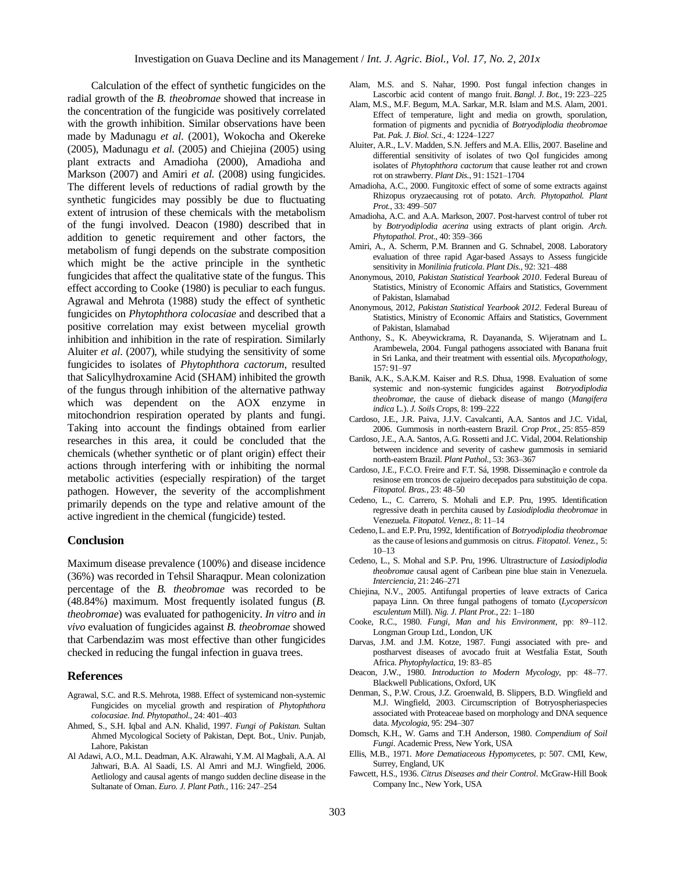Calculation of the effect of synthetic fungicides on the radial growth of the *B. theobromae* showed that increase in the concentration of the fungicide was positively correlated with the growth inhibition. Similar observations have been made by Madunagu *et al*. (2001), Wokocha and Okereke (2005), Madunagu *et al*. (2005) and Chiejina (2005) using plant extracts and Amadioha (2000), Amadioha and Markson (2007) and Amiri *et al.* (2008) using fungicides. The different levels of reductions of radial growth by the synthetic fungicides may possibly be due to fluctuating extent of intrusion of these chemicals with the metabolism of the fungi involved. Deacon (1980) described that in addition to genetic requirement and other factors, the metabolism of fungi depends on the substrate composition which might be the active principle in the synthetic fungicides that affect the qualitative state of the fungus. This effect according to Cooke (1980) is peculiar to each fungus. Agrawal and Mehrota (1988) study the effect of synthetic fungicides on *Phytophthora colocasiae* and described that a positive correlation may exist between mycelial growth inhibition and inhibition in the rate of respiration. Similarly Aluiter *et al*. (2007), while studying the sensitivity of some fungicides to isolates of *Phytophthora cactorum*, resulted that Salicylhydroxamine Acid (SHAM) inhibited the growth of the fungus through inhibition of the alternative pathway which was dependent on the AOX enzyme in mitochondrion respiration operated by plants and fungi. Taking into account the findings obtained from earlier researches in this area, it could be concluded that the chemicals (whether synthetic or of plant origin) effect their actions through interfering with or inhibiting the normal metabolic activities (especially respiration) of the target pathogen. However, the severity of the accomplishment primarily depends on the type and relative amount of the active ingredient in the chemical (fungicide) tested.

#### **Conclusion**

Maximum disease prevalence (100%) and disease incidence (36%) was recorded in Tehsil Sharaqpur. Mean colonization percentage of the *B. theobromae* was recorded to be (48.84%) maximum. Most frequently isolated fungus (*B. theobromae*) was evaluated for pathogenicity. *In vitro* and *in vivo* evaluation of fungicides against *B. theobromae* showed that Carbendazim was most effective than other fungicides checked in reducing the fungal infection in guava trees.

## **References**

- Agrawal, S.C. and R.S. Mehrota, 1988. Effect of systemicand non-systemic Fungicides on mycelial growth and respiration of *Phytophthora colocasiae*. *Ind. Phytopathol.*, 24: 401‒403
- Ahmed, S., S.H. Iqbal and A.N. Khalid, 1997. *Fungi of Pakistan.* Sultan Ahmed Mycological Society of Pakistan, Dept. Bot., Univ. Punjab, Lahore, Pakistan
- Al Adawi, A.O., M.L. Deadman, A.K. Alrawahi, Y.M. Al Magbali, A.A. Al Jahwari, B.A. Al Saadi, I.S. Al Amri and M.J. Wingfield, 2006. Aetliology and causal agents of mango sudden decline disease in the Sultanate of Oman. *Euro. J. Plant Path.,* 116: 247‒254
- Alam, M.S. and S. Nahar, 1990. Post fungal infection changes in Lascorbic acid content of mango fruit. *Bangl. J. Bot.*, 19: 223-225
- Alam, M.S., M.F. Begum, M.A. Sarkar, M.R. Islam and M.S. Alam, 2001. Effect of temperature, light and media on growth, sporulation, formation of pigments and pycnidia of *Botryodiplodia theobromae*  Pat. Pak. J. Biol. Sci., 4: 1224-1227
- Aluiter, A.R., L.V. Madden, S.N. Jeffers and M.A. Ellis, 2007. Baseline and differential sensitivity of isolates of two QoI fungicides among isolates of *Phytophthora cactorum* that cause leather rot and crown rot on strawberry. *Plant Dis.*, 91: 1521-1704
- Amadioha, A.C., 2000. Fungitoxic effect of some of some extracts against Rhizopus oryzaecausing rot of potato. *Arch. Phytopathol. Plant Prot.*, 33: 499‒507
- Amadioha, A.C. and A.A. Markson, 2007. Post-harvest control of tuber rot by *Botryodiplodia acerina* using extracts of plant origin. *Arch. Phytopathol. Prot*., 40: 359‒366
- Amiri, A., A. Scherm, P.M. Brannen and G. Schnabel, 2008. Laboratory evaluation of three rapid Agar-based Assays to Assess fungicide sensitivity in *Monilinia fruticola*. *Plant Dis.,* 92: 321–488
- Anonymous, 2010, *Pakistan Statistical Yearbook 2010*. Federal Bureau of Statistics, Ministry of Economic Affairs and Statistics, Government of Pakistan, Islamabad
- Anonymous, 2012, *Pakistan Statistical Yearbook 2012.* Federal Bureau of Statistics, Ministry of Economic Affairs and Statistics, Government of Pakistan, Islamabad
- Anthony, S., K. Abeywickrama, R. Dayananda, S. Wijeratnam and L. Arambewela, 2004. Fungal pathogens associated with Banana fruit in Sri Lanka, and their treatment with essential oils. *Mycopathology*, 157: 91‒97
- Banik, A.K., S.A.K.M. Kaiser and R.S. Dhua, 1998. Evaluation of some systemic and non-systemic fungicides against *Botryodiplodia theobromae*, the cause of dieback disease of mango (*Mangifera indica* L.). *J. Soils Crops*, 8: 199‒222
- Cardoso, J.E., J.R. Paiva, J.J.V. Cavalcanti, A.A. Santos and J.C. Vidal, 2006. Gummosis in north-eastern Brazil. *Crop Prot.,* 25: 855‒859
- Cardoso, J.E., A.A. Santos, A.G. Rossetti and J.C. Vidal, 2004. Relationship between incidence and severity of cashew gummosis in semiarid north-eastern Brazil. *Plant Pathol*., 53: 363‒367
- Cardoso, J.E., F.C.O. Freire and F.T. Sá, 1998. Disseminação e controle da resinose em troncos de cajueiro decepados para substituição de copa. *Fitopatol. Bras.*, 23: 48–50
- Cedeno, L., C. Carrero, S. Mohali and E.P. Pru, 1995. Identification regressive death in perchita caused by *Lasiodiplodia theobromae* in Venezuela. *Fitopatol. Venez.*, 8: 11‒14
- Cedeno,L. and E.P.Pru, 1992, Identification of *Botryodiplodia theobromae* as the cause of lesions and gummosis on citrus. *Fitopatol. Venez.*, 5:  $10 - 13$
- Cedeno, L., S. Mohal and S.P. Pru, 1996. Ultrastructure of *Lasiodiplodia theobromae* causal agent of Caribean pine blue stain in Venezuela. *Interciencia*, 21: 246‒271
- Chiejina, N.V., 2005. Antifungal properties of leave extracts of Carica papaya Linn. On three fungal pathogens of tomato (*Lycopersicon esculentum* Mill). *Nig. J. Plant Prot.*, 22: 1‒180
- Cooke, R.C., 1980. *Fungi, Man and his Environment*, pp: 89–112. Longman Group Ltd., London, UK
- Darvas, J.M. and J.M. Kotze, 1987. Fungi associated with pre- and postharvest diseases of avocado fruit at Westfalia Estat, South Africa. *Phytophylactica*, 19: 83‒85
- Deacon, J.W., 1980. *Introduction to Modern Mycology*, pp: 48-77. Blackwell Publications, Oxford, UK
- Denman, S., P.W. Crous, J.Z. Groenwald, B. Slippers, B.D. Wingfield and M.J. Wingfield, 2003. Circumscription of Botryospheriaspecies associated with Proteaceae based on morphology and DNA sequence data. *Mycologia*, 95: 294‒307
- Domsch, K.H., W. Gams and T.H Anderson, 1980. *Compendium of Soil Fungi*. Academic Press, New York, USA
- Ellis, M.B., 1971. *More Dematiaceous Hypomycetes*, p: 507. CMI, Kew, Surrey, England, UK
- Fawcett, H.S., 1936. *Citrus Diseases and their Control*. McGraw-Hill Book Company Inc., New York, USA